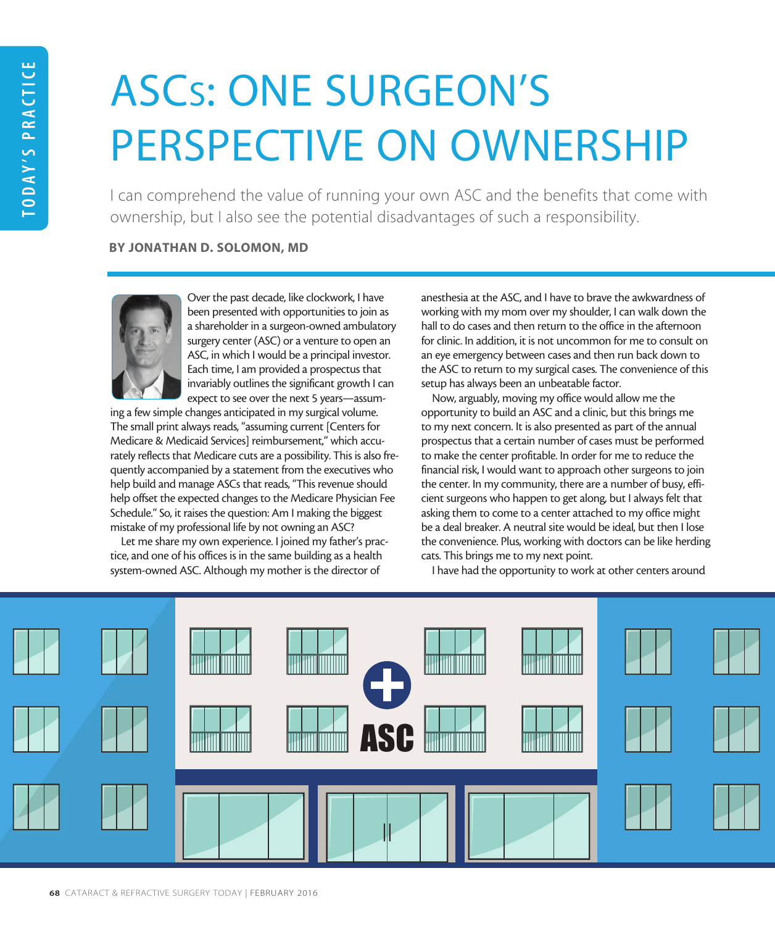# ASCs: ONE SURGEON'S PERSPECTIVE ON OWNERSHIP

I can comprehend the value of running your own ASC and the benefits that come with ownership, but I also see the potential disadvantages of such a responsibility.

### BY JONATHAN D. SOLOMON, MD



Over the past decade, like clockwork, I have been presented with opportunities to join as a shareholder in a surgeon-owned ambulatory surgery center (ASC) or a venture to open an ASC, in which I would be a principal investor. Each time, I am provided a prospectus that invariably outlines the significant growth I can expect to see over the next 5 years—assum-

ing a few simple changes anticipated in my surgical volume. The small print always reads, "assuming current [Centers for Medicare & Medicaid Services] reimbursement," which accurately reflects that Medicare cuts are a possibility. This is also frequently accompanied by a statement from the executives who help build and manage ASCs that reads, "This revenue should help offset the expected changes to the Medicare Physician Fee Schedule." So, it raises the question: Am I making the biggest mistake of my professional life by not owning an ASC?

Let me share my own experience. I joined my father's practice, and one of his offices is in the same building as a health system-owned ASC. Although my mother is the director of

anesthesia at the ASC, and I have to brave the awkwardness of working with my mom over my shoulder, I can walk down the hall to do cases and then return to the office in the afternoon for clinic. In addition, it is not uncommon for me to consult on an eye emergency between cases and then run back down to the ASC to return to my surgical cases. The convenience of this setup has always been an unbeatable factor.

Now, arguably, moving my office would allow me the opportunity to build an ASC and a clinic, but this brings me to my next concern. It is also presented as part of the annual prospectus that a certain number of cases must be performed to make the center profitable. In order for me to reduce the financial risk, I would want to approach other surgeons to join the center. In my community, there are a number of busy, efficient surgeons who happen to get along, but I always felt that asking them to come to a center attached to my office might be a deal breaker. A neutral site would be ideal, but then I lose the convenience. Plus, working with doctors can be like herding cats. This brings me to my next point.

I have had the opportunity to work at other centers around